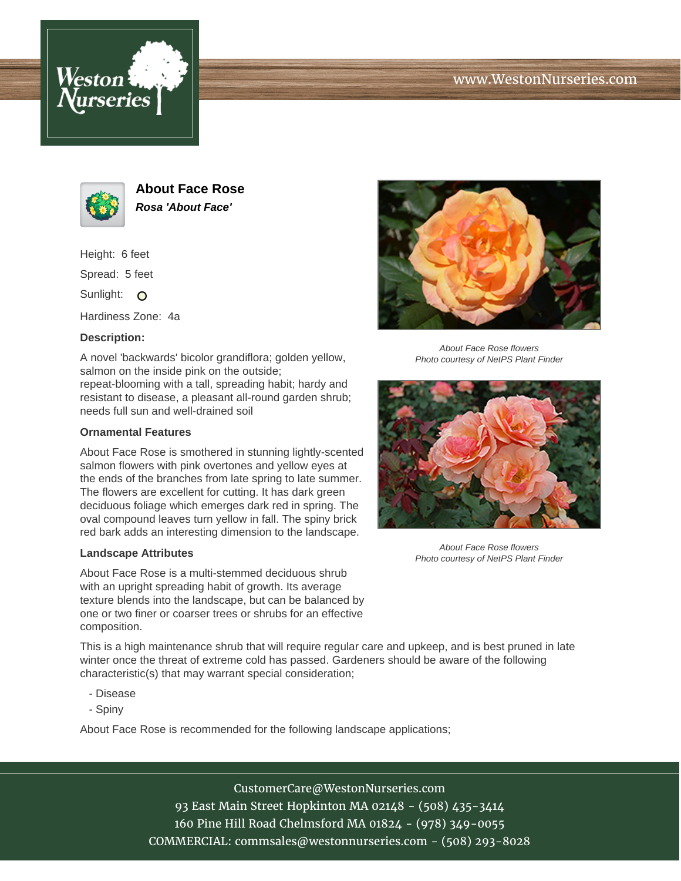





**About Face Rose Rosa 'About Face'**

Height: 6 feet

Spread: 5 feet

Sunlight: O

Hardiness Zone: 4a

## **Description:**

A novel 'backwards' bicolor grandiflora; golden yellow, salmon on the inside pink on the outside;

repeat-blooming with a tall, spreading habit; hardy and resistant to disease, a pleasant all-round garden shrub; needs full sun and well-drained soil

## **Ornamental Features**

About Face Rose is smothered in stunning lightly-scented salmon flowers with pink overtones and yellow eyes at the ends of the branches from late spring to late summer. The flowers are excellent for cutting. It has dark green deciduous foliage which emerges dark red in spring. The oval compound leaves turn yellow in fall. The spiny brick red bark adds an interesting dimension to the landscape.

## **Landscape Attributes**

About Face Rose is a multi-stemmed deciduous shrub with an upright spreading habit of growth. Its average texture blends into the landscape, but can be balanced by one or two finer or coarser trees or shrubs for an effective composition.

This is a high maintenance shrub that will require regular care and upkeep, and is best pruned in late winter once the threat of extreme cold has passed. Gardeners should be aware of the following characteristic(s) that may warrant special consideration;

- Disease
- Spiny

About Face Rose is recommended for the following landscape applications;



About Face Rose flowers Photo courtesy of NetPS Plant Finder



About Face Rose flowers Photo courtesy of NetPS Plant Finder

CustomerCare@WestonNurseries.com 93 East Main Street Hopkinton MA 02148 - (508) 435-3414 160 Pine Hill Road Chelmsford MA 01824 - (978) 349-0055 COMMERCIAL: commsales@westonnurseries.com - (508) 293-8028